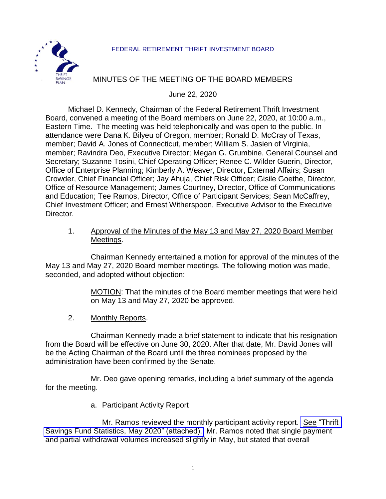#### FEDERAL RETIREMENT THRIFT INVESTMENT BOARD



#### MINUTES OF THE MEETING OF THE BOARD MEMBERS

June 22, 2020

Michael D. Kennedy, Chairman of the Federal Retirement Thrift Investment Board, convened a meeting of the Board members on June 22, 2020, at 10:00 a.m., Eastern Time. The meeting was held telephonically and was open to the public. In attendance were Dana K. Bilyeu of Oregon, member; Ronald D. McCray of Texas, member; David A. Jones of Connecticut, member; William S. Jasien of Virginia, member; Ravindra Deo, Executive Director; Megan G. Grumbine, General Counsel and Secretary; Suzanne Tosini, Chief Operating Officer; Renee C. Wilder Guerin, Director, Office of Enterprise Planning; Kimberly A. Weaver, Director, External Affairs; Susan Crowder, Chief Financial Officer; Jay Ahuja, Chief Risk Officer; Gisile Goethe, Director, Office of Resource Management; James Courtney, Director, Office of Communications and Education; Tee Ramos, Director, Office of Participant Services; Sean McCaffrey, Chief Investment Officer; and Ernest Witherspoon, Executive Advisor to the Executive Director.

1. Approval of the Minutes of the May 13 and May 27, 2020 Board Member Meetings.

Chairman Kennedy entertained a motion for approval of the minutes of the May 13 and May 27, 2020 Board member meetings. The following motion was made, seconded, and adopted without objection:

> MOTION: That the minutes of the Board member meetings that were held on May 13 and May 27, 2020 be approved.

2. Monthly Reports.

Chairman Kennedy made a brief statement to indicate that his resignation from the Board will be effective on June 30, 2020. After that date, Mr. David Jones will be the Acting Chairman of the Board until the three nominees proposed by the administration have been confirmed by the Senate.

Mr. Deo gave opening remarks, including a brief summary of the agenda for the meeting.

a. Participant Activity Report

Mr. Ramos reviewed the monthly participant activity report. See ["Thrift](https://www.frtib.gov/pdf/minutes/2020/June/MM-2020June-Att1.pdf)  [Savings Fund Statistics, May 2020" \(attached\).](https://www.frtib.gov/pdf/minutes/2020/June/MM-2020June-Att1.pdf) Mr. Ramos noted that single payment and partial withdrawal volumes increased slightly in May, but stated that overall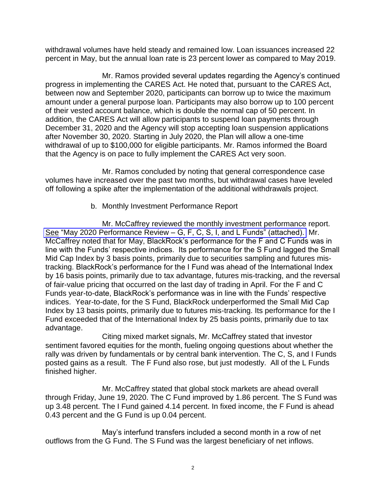withdrawal volumes have held steady and remained low. Loan issuances increased 22 percent in May, but the annual loan rate is 23 percent lower as compared to May 2019.

Mr. Ramos provided several updates regarding the Agency's continued progress in implementing the CARES Act. He noted that, pursuant to the CARES Act, between now and September 2020, participants can borrow up to twice the maximum amount under a general purpose loan. Participants may also borrow up to 100 percent of their vested account balance, which is double the normal cap of 50 percent. In addition, the CARES Act will allow participants to suspend loan payments through December 31, 2020 and the Agency will stop accepting loan suspension applications after November 30, 2020. Starting in July 2020, the Plan will allow a one-time withdrawal of up to \$100,000 for eligible participants. Mr. Ramos informed the Board that the Agency is on pace to fully implement the CARES Act very soon.

Mr. Ramos concluded by noting that general correspondence case volumes have increased over the past two months, but withdrawal cases have leveled off following a spike after the implementation of the additional withdrawals project.

b. Monthly Investment Performance Report

Mr. McCaffrey reviewed the monthly investment performance report. See "May 2020 Performance Review – [G, F, C, S, I, and L Funds" \(attached\).](https://www.frtib.gov/pdf/minutes/2020/June/MM-2020June-Att2.pdf) Mr. McCaffrey noted that for May, BlackRock's performance for the F and C Funds was in line with the Funds' respective indices. Its performance for the S Fund lagged the Small Mid Cap Index by 3 basis points, primarily due to securities sampling and futures mistracking. BlackRock's performance for the I Fund was ahead of the International Index by 16 basis points, primarily due to tax advantage, futures mis-tracking, and the reversal of fair-value pricing that occurred on the last day of trading in April. For the F and C Funds year-to-date, BlackRock's performance was in line with the Funds' respective indices. Year-to-date, for the S Fund, BlackRock underperformed the Small Mid Cap Index by 13 basis points, primarily due to futures mis-tracking. Its performance for the I Fund exceeded that of the International Index by 25 basis points, primarily due to tax advantage.

Citing mixed market signals, Mr. McCaffrey stated that investor sentiment favored equities for the month, fueling ongoing questions about whether the rally was driven by fundamentals or by central bank intervention. The C, S, and I Funds posted gains as a result. The F Fund also rose, but just modestly. All of the L Funds finished higher.

Mr. McCaffrey stated that global stock markets are ahead overall through Friday, June 19, 2020. The C Fund improved by 1.86 percent. The S Fund was up 3.48 percent. The I Fund gained 4.14 percent. In fixed income, the F Fund is ahead 0.43 percent and the G Fund is up 0.04 percent.

May's interfund transfers included a second month in a row of net outflows from the G Fund. The S Fund was the largest beneficiary of net inflows.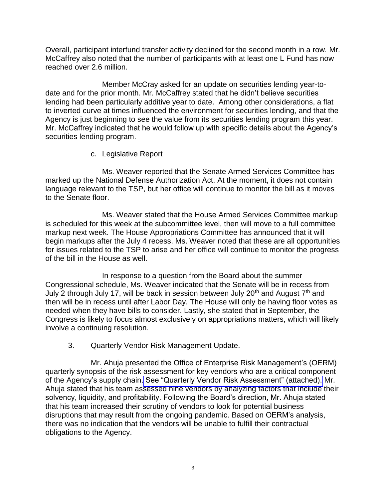Overall, participant interfund transfer activity declined for the second month in a row. Mr. McCaffrey also noted that the number of participants with at least one L Fund has now reached over 2.6 million.

Member McCray asked for an update on securities lending year-todate and for the prior month. Mr. McCaffrey stated that he didn't believe securities lending had been particularly additive year to date. Among other considerations, a flat to inverted curve at times influenced the environment for securities lending, and that the Agency is just beginning to see the value from its securities lending program this year. Mr. McCaffrey indicated that he would follow up with specific details about the Agency's securities lending program.

c. Legislative Report

Ms. Weaver reported that the Senate Armed Services Committee has marked up the National Defense Authorization Act. At the moment, it does not contain language relevant to the TSP, but her office will continue to monitor the bill as it moves to the Senate floor.

Ms. Weaver stated that the House Armed Services Committee markup is scheduled for this week at the subcommittee level, then will move to a full committee markup next week. The House Appropriations Committee has announced that it will begin markups after the July 4 recess. Ms. Weaver noted that these are all opportunities for issues related to the TSP to arise and her office will continue to monitor the progress of the bill in the House as well.

In response to a question from the Board about the summer Congressional schedule, Ms. Weaver indicated that the Senate will be in recess from July 2 through July 17, will be back in session between July 20<sup>th</sup> and August  $7<sup>th</sup>$  and then will be in recess until after Labor Day. The House will only be having floor votes as needed when they have bills to consider. Lastly, she stated that in September, the Congress is likely to focus almost exclusively on appropriations matters, which will likely involve a continuing resolution.

## 3. Quarterly Vendor Risk Management Update.

Mr. Ahuja presented the Office of Enterprise Risk Management's (OERM) quarterly synopsis of the risk assessment for key vendors who are a critical component of the Agency's supply chain. [See "Quarterly Vendor Risk Assessment" \(attached\).](https://www.frtib.gov/pdf/minutes/2020/June/MM-2020June-Att3.pdf) Mr. Ahuja stated that his team assessed nine vendors by analyzing factors that include their solvency, liquidity, and profitability. Following the Board's direction, Mr. Ahuja stated that his team increased their scrutiny of vendors to look for potential business disruptions that may result from the ongoing pandemic. Based on OERM's analysis, there was no indication that the vendors will be unable to fulfill their contractual obligations to the Agency.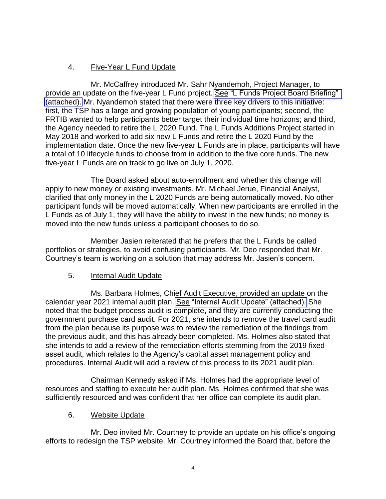# 4. Five-Year L Fund Update

Mr. McCaffrey introduced Mr. Sahr Nyandemoh, Project Manager, to provide an update on the five-year L Fund project. See "L Funds Project Board Briefing" [\(attached\).](https://www.frtib.gov/pdf/minutes/2020/June/MM-2020June-Att4.pdf) Mr. Nyandemoh stated that there were three key drivers to this initiative: first, the TSP has a large and growing population of young participants; second, the FRTIB wanted to help participants better target their individual time horizons; and third, the Agency needed to retire the L 2020 Fund. The L Funds Additions Project started in May 2018 and worked to add six new L Funds and retire the L 2020 Fund by the implementation date. Once the new five-year L Funds are in place, participants will have a total of 10 lifecycle funds to choose from in addition to the five core funds. The new five-year L Funds are on track to go live on July 1, 2020.

The Board asked about auto-enrollment and whether this change will apply to new money or existing investments. Mr. Michael Jerue, Financial Analyst, clarified that only money in the L 2020 Funds are being automatically moved. No other participant funds will be moved automatically. When new participants are enrolled in the L Funds as of July 1, they will have the ability to invest in the new funds; no money is moved into the new funds unless a participant chooses to do so.

Member Jasien reiterated that he prefers that the L Funds be called portfolios or strategies, to avoid confusing participants. Mr. Deo responded that Mr. Courtney's team is working on a solution that may address Mr. Jasien's concern.

## 5. Internal Audit Update

Ms. Barbara Holmes, Chief Audit Executive, provided an update on the calendar year 2021 internal audit plan. See ["Internal Audit Update" \(attached\).](https://www.frtib.gov/pdf/minutes/2020/June/MM-2020June-Att5.pdf) She noted that the budget process audit is complete, and they are currently conducting the government purchase card audit. For 2021, she intends to remove the travel card audit from the plan because its purpose was to review the remediation of the findings from the previous audit, and this has already been completed. Ms. Holmes also stated that she intends to add a review of the remediation efforts stemming from the 2019 fixedasset audit, which relates to the Agency's capital asset management policy and procedures. Internal Audit will add a review of this process to its 2021 audit plan.

Chairman Kennedy asked if Ms. Holmes had the appropriate level of resources and staffing to execute her audit plan. Ms. Holmes confirmed that she was sufficiently resourced and was confident that her office can complete its audit plan.

## 6. Website Update

Mr. Deo invited Mr. Courtney to provide an update on his office's ongoing efforts to redesign the TSP website. Mr. Courtney informed the Board that, before the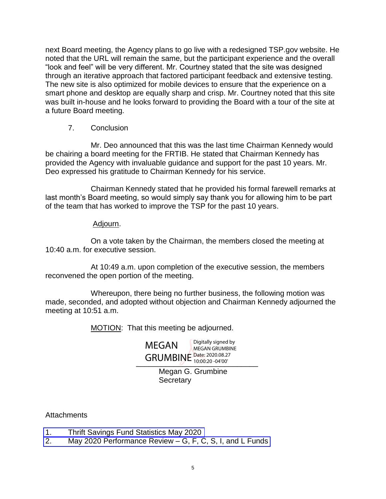next Board meeting, the Agency plans to go live with a redesigned TSP.gov website. He noted that the URL will remain the same, but the participant experience and the overall "look and feel" will be very different. Mr. Courtney stated that the site was designed through an iterative approach that factored participant feedback and extensive testing. The new site is also optimized for mobile devices to ensure that the experience on a smart phone and desktop are equally sharp and crisp. Mr. Courtney noted that this site was built in-house and he looks forward to providing the Board with a tour of the site at a future Board meeting.

#### 7. Conclusion

Mr. Deo announced that this was the last time Chairman Kennedy would be chairing a board meeting for the FRTIB. He stated that Chairman Kennedy has provided the Agency with invaluable guidance and support for the past 10 years. Mr. Deo expressed his gratitude to Chairman Kennedy for his service.

Chairman Kennedy stated that he provided his formal farewell remarks at last month's Board meeting, so would simply say thank you for allowing him to be part of the team that has worked to improve the TSP for the past 10 years.

#### Adjourn.

On a vote taken by the Chairman, the members closed the meeting at 10:40 a.m. for executive session.

At 10:49 a.m. upon completion of the executive session, the members reconvened the open portion of the meeting.

Whereupon, there being no further business, the following motion was made, seconded, and adopted without objection and Chairman Kennedy adjourned the meeting at 10:51 a.m.

MOTION: That this meeting be adjourned.

GRUMBINE Date: 2020.08.27 MEGAN Digitally signed by MEGAN GRUMBINE 10:00:20 -04'00'

> Megan G. Grumbine **Secretary**

Attachments

- 1. [Thrift Savings Fund Statistics May 2020](https://www.frtib.gov/pdf/minutes/2020/June/MM-2020June-Att1.pdf)
- 2. May 2020 Performance Review [G, F, C, S, I, and L Funds](https://www.frtib.gov/pdf/minutes/2020/June/MM-2020June-Att2.pdf)